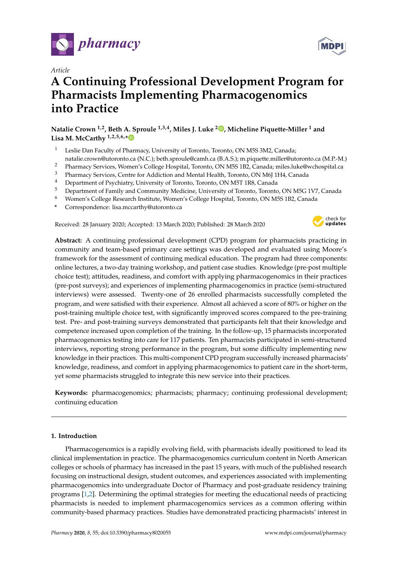

# *Article*

# **A Continuing Professional Development Program for Pharmacists Implementing Pharmacogenomics into Practice**

**Natalie Crown 1,2, Beth A. Sproule 1,3,4, Miles J. Luke [2](https://orcid.org/0000-0002-7368-8868) , Micheline Piquette-Miller <sup>1</sup> and Lisa M. McCarthy 1,2,5,6,[\\*](https://orcid.org/0000-0001-9087-1077)**

- <sup>1</sup> Leslie Dan Faculty of Pharmacy, University of Toronto, Toronto, ON M5S 3M2, Canada; natalie.crown@utoronto.ca (N.C.); beth.sproule@camh.ca (B.A.S.); m.piquette.miller@utoronto.ca (M.P.-M.)
- <sup>2</sup> Pharmacy Services, Women's College Hospital, Toronto, ON M5S 1B2, Canada; miles.luke@wchospital.ca<br><sup>3</sup> Pharmacy Services, Contra for Addiction and Mantal Hospital, Taronto, ON M6J 1H4 Canada
- <sup>3</sup> Pharmacy Services, Centre for Addiction and Mental Health, Toronto, ON M6J 1H4, Canada
- <sup>4</sup> Department of Psychiatry, University of Toronto, Toronto, ON M5T 1R8, Canada
- <sup>5</sup> Department of Family and Community Medicine, University of Toronto, Toronto, ON M5G 1V7, Canada
- <sup>6</sup> Women's College Research Institute, Women's College Hospital, Toronto, ON M5S 1B2, Canada
- **\*** Correspondence: lisa.mccarthy@utoronto.ca

Received: 28 January 2020; Accepted: 13 March 2020; Published: 28 March 2020



**Abstract:** A continuing professional development (CPD) program for pharmacists practicing in community and team-based primary care settings was developed and evaluated using Moore's framework for the assessment of continuing medical education. The program had three components: online lectures, a two-day training workshop, and patient case studies. Knowledge (pre-post multiple choice test); attitudes, readiness, and comfort with applying pharmacogenomics in their practices (pre-post surveys); and experiences of implementing pharmacogenomics in practice (semi-structured interviews) were assessed. Twenty-one of 26 enrolled pharmacists successfully completed the program, and were satisfied with their experience. Almost all achieved a score of 80% or higher on the post-training multiple choice test, with significantly improved scores compared to the pre-training test. Pre- and post-training surveys demonstrated that participants felt that their knowledge and competence increased upon completion of the training. In the follow-up, 15 pharmacists incorporated pharmacogenomics testing into care for 117 patients. Ten pharmacists participated in semi-structured interviews, reporting strong performance in the program, but some difficulty implementing new knowledge in their practices. This multi-component CPD program successfully increased pharmacists' knowledge, readiness, and comfort in applying pharmacogenomics to patient care in the short-term, yet some pharmacists struggled to integrate this new service into their practices.

**Keywords:** pharmacogenomics; pharmacists; pharmacy; continuing professional development; continuing education

# **1. Introduction**

Pharmacogenomics is a rapidly evolving field, with pharmacists ideally positioned to lead its clinical implementation in practice. The pharmacogenomics curriculum content in North American colleges or schools of pharmacy has increased in the past 15 years, with much of the published research focusing on instructional design, student outcomes, and experiences associated with implementing pharmacogenomics into undergraduate Doctor of Pharmacy and post-graduate residency training programs [\[1,](#page-10-0)[2\]](#page-10-1). Determining the optimal strategies for meeting the educational needs of practicing pharmacists is needed to implement pharmacogenomics services as a common offering within community-based pharmacy practices. Studies have demonstrated practicing pharmacists' interest in

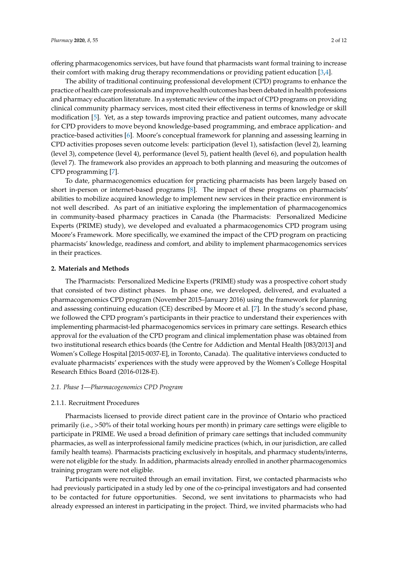offering pharmacogenomics services, but have found that pharmacists want formal training to increase their comfort with making drug therapy recommendations or providing patient education [\[3,](#page-10-2)[4\]](#page-10-3).

The ability of traditional continuing professional development (CPD) programs to enhance the practice of health care professionals and improve health outcomes has been debated in health professions and pharmacy education literature. In a systematic review of the impact of CPD programs on providing clinical community pharmacy services, most cited their effectiveness in terms of knowledge or skill modification [\[5\]](#page-11-0). Yet, as a step towards improving practice and patient outcomes, many advocate for CPD providers to move beyond knowledge-based programming, and embrace application- and practice-based activities [\[6\]](#page-11-1). Moore's conceptual framework for planning and assessing learning in CPD activities proposes seven outcome levels: participation (level 1), satisfaction (level 2), learning (level 3), competence (level 4), performance (level 5), patient health (level 6), and population health (level 7). The framework also provides an approach to both planning and measuring the outcomes of CPD programming [\[7\]](#page-11-2).

To date, pharmacogenomics education for practicing pharmacists has been largely based on short in-person or internet-based programs [\[8\]](#page-11-3). The impact of these programs on pharmacists' abilities to mobilize acquired knowledge to implement new services in their practice environment is not well described. As part of an initiative exploring the implementation of pharmacogenomics in community-based pharmacy practices in Canada (the Pharmacists: Personalized Medicine Experts (PRIME) study), we developed and evaluated a pharmacogenomics CPD program using Moore's Framework. More specifically, we examined the impact of the CPD program on practicing pharmacists' knowledge, readiness and comfort, and ability to implement pharmacogenomics services in their practices.

#### **2. Materials and Methods**

The Pharmacists: Personalized Medicine Experts (PRIME) study was a prospective cohort study that consisted of two distinct phases. In phase one, we developed, delivered, and evaluated a pharmacogenomics CPD program (November 2015–January 2016) using the framework for planning and assessing continuing education (CE) described by Moore et al. [\[7\]](#page-11-2). In the study's second phase, we followed the CPD program's participants in their practice to understand their experiences with implementing pharmacist-led pharmacogenomics services in primary care settings. Research ethics approval for the evaluation of the CPD program and clinical implementation phase was obtained from two institutional research ethics boards (the Centre for Addiction and Mental Health [083/2013] and Women's College Hospital [2015-0037-E], in Toronto, Canada). The qualitative interviews conducted to evaluate pharmacists' experiences with the study were approved by the Women's College Hospital Research Ethics Board (2016-0128-E).

#### *2.1. Phase 1—Pharmacogenomics CPD Program*

#### 2.1.1. Recruitment Procedures

Pharmacists licensed to provide direct patient care in the province of Ontario who practiced primarily (i.e., >50% of their total working hours per month) in primary care settings were eligible to participate in PRIME. We used a broad definition of primary care settings that included community pharmacies, as well as interprofessional family medicine practices (which, in our jurisdiction, are called family health teams). Pharmacists practicing exclusively in hospitals, and pharmacy students/interns, were not eligible for the study. In addition, pharmacists already enrolled in another pharmacogenomics training program were not eligible.

Participants were recruited through an email invitation. First, we contacted pharmacists who had previously participated in a study led by one of the co-principal investigators and had consented to be contacted for future opportunities. Second, we sent invitations to pharmacists who had already expressed an interest in participating in the project. Third, we invited pharmacists who had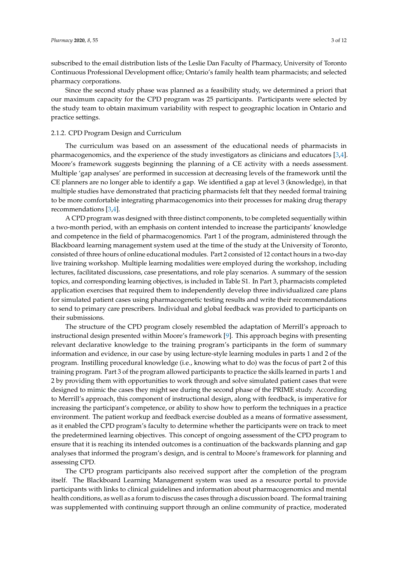subscribed to the email distribution lists of the Leslie Dan Faculty of Pharmacy, University of Toronto Continuous Professional Development office; Ontario's family health team pharmacists; and selected pharmacy corporations.

Since the second study phase was planned as a feasibility study, we determined a priori that our maximum capacity for the CPD program was 25 participants. Participants were selected by the study team to obtain maximum variability with respect to geographic location in Ontario and practice settings.

#### 2.1.2. CPD Program Design and Curriculum

The curriculum was based on an assessment of the educational needs of pharmacists in pharmacogenomics, and the experience of the study investigators as clinicians and educators [\[3,](#page-10-2)[4\]](#page-10-3). Moore's framework suggests beginning the planning of a CE activity with a needs assessment. Multiple 'gap analyses' are performed in succession at decreasing levels of the framework until the CE planners are no longer able to identify a gap. We identified a gap at level 3 (knowledge), in that multiple studies have demonstrated that practicing pharmacists felt that they needed formal training to be more comfortable integrating pharmacogenomics into their processes for making drug therapy recommendations [\[3,](#page-10-2)[4\]](#page-10-3).

A CPD program was designed with three distinct components, to be completed sequentially within a two-month period, with an emphasis on content intended to increase the participants' knowledge and competence in the field of pharmacogenomics. Part 1 of the program, administered through the Blackboard learning management system used at the time of the study at the University of Toronto, consisted of three hours of online educational modules. Part 2 consisted of 12 contact hours in a two-day live training workshop. Multiple learning modalities were employed during the workshop, including lectures, facilitated discussions, case presentations, and role play scenarios. A summary of the session topics, and corresponding learning objectives, is included in Table S1. In Part 3, pharmacists completed application exercises that required them to independently develop three individualized care plans for simulated patient cases using pharmacogenetic testing results and write their recommendations to send to primary care prescribers. Individual and global feedback was provided to participants on their submissions.

The structure of the CPD program closely resembled the adaptation of Merrill's approach to instructional design presented within Moore's framework [\[9\]](#page-11-4). This approach begins with presenting relevant declarative knowledge to the training program's participants in the form of summary information and evidence, in our case by using lecture-style learning modules in parts 1 and 2 of the program. Instilling procedural knowledge (i.e., knowing what to do) was the focus of part 2 of this training program. Part 3 of the program allowed participants to practice the skills learned in parts 1 and 2 by providing them with opportunities to work through and solve simulated patient cases that were designed to mimic the cases they might see during the second phase of the PRIME study. According to Merrill's approach, this component of instructional design, along with feedback, is imperative for increasing the participant's competence, or ability to show how to perform the techniques in a practice environment. The patient workup and feedback exercise doubled as a means of formative assessment, as it enabled the CPD program's faculty to determine whether the participants were on track to meet the predetermined learning objectives. This concept of ongoing assessment of the CPD program to ensure that it is reaching its intended outcomes is a continuation of the backwards planning and gap analyses that informed the program's design, and is central to Moore's framework for planning and assessing CPD.

The CPD program participants also received support after the completion of the program itself. The Blackboard Learning Management system was used as a resource portal to provide participants with links to clinical guidelines and information about pharmacogenomics and mental health conditions, as well as a forum to discuss the cases through a discussion board. The formal training was supplemented with continuing support through an online community of practice, moderated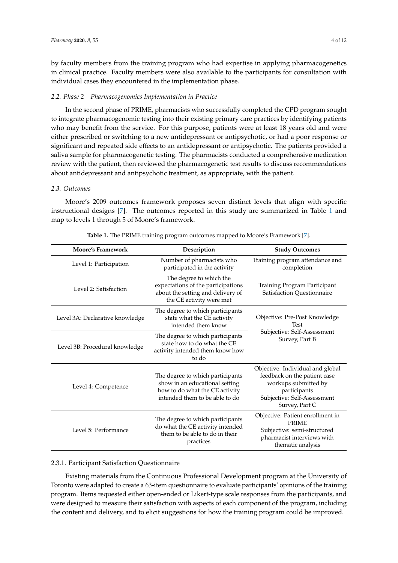by faculty members from the training program who had expertise in applying pharmacogenetics in clinical practice. Faculty members were also available to the participants for consultation with individual cases they encountered in the implementation phase.

#### *2.2. Phase 2—Pharmacogenomics Implementation in Practice*

In the second phase of PRIME, pharmacists who successfully completed the CPD program sought to integrate pharmacogenomic testing into their existing primary care practices by identifying patients who may benefit from the service. For this purpose, patients were at least 18 years old and were either prescribed or switching to a new antidepressant or antipsychotic, or had a poor response or significant and repeated side effects to an antidepressant or antipsychotic. The patients provided a saliva sample for pharmacogenetic testing. The pharmacists conducted a comprehensive medication review with the patient, then reviewed the pharmacogenetic test results to discuss recommendations about antidepressant and antipsychotic treatment, as appropriate, with the patient.

#### *2.3. Outcomes*

Moore's 2009 outcomes framework proposes seven distinct levels that align with specific instructional designs [\[7\]](#page-11-2). The outcomes reported in this study are summarized in Table [1](#page-3-0) and map to levels 1 through 5 of Moore's framework.

<span id="page-3-0"></span>

| <b>Moore's Framework</b>        | Description                                                                                                                            | <b>Study Outcomes</b>                                                                                                                                     |  |
|---------------------------------|----------------------------------------------------------------------------------------------------------------------------------------|-----------------------------------------------------------------------------------------------------------------------------------------------------------|--|
| Level 1: Participation          | Number of pharmacists who<br>participated in the activity                                                                              | Training program attendance and<br>completion                                                                                                             |  |
| Level 2: Satisfaction           | The degree to which the<br>expectations of the participations<br>about the setting and delivery of<br>the CE activity were met         | Training Program Participant<br>Satisfaction Questionnaire                                                                                                |  |
| Level 3A: Declarative knowledge | The degree to which participants<br>state what the CE activity<br>intended them know                                                   | Objective: Pre-Post Knowledge<br><b>Test</b><br>Subjective: Self-Assessment<br>Survey, Part B                                                             |  |
| Level 3B: Procedural knowledge  | The degree to which participants<br>state how to do what the CE<br>activity intended them know how<br>to do                            |                                                                                                                                                           |  |
| Level 4: Competence             | The degree to which participants<br>show in an educational setting<br>how to do what the CE activity<br>intended them to be able to do | Objective: Individual and global<br>feedback on the patient case<br>workups submitted by<br>participants<br>Subjective: Self-Assessment<br>Survey, Part C |  |
| Level 5: Performance            | The degree to which participants<br>do what the CE activity intended<br>them to be able to do in their<br>practices                    | Objective: Patient enrollment in<br><b>PRIME</b><br>Subjective: semi-structured<br>pharmacist interviews with<br>thematic analysis                        |  |

**Table 1.** The PRIME training program outcomes mapped to Moore's Framework [\[7\]](#page-11-2).

#### 2.3.1. Participant Satisfaction Questionnaire

Existing materials from the Continuous Professional Development program at the University of Toronto were adapted to create a 63-item questionnaire to evaluate participants' opinions of the training program. Items requested either open-ended or Likert-type scale responses from the participants, and were designed to measure their satisfaction with aspects of each component of the program, including the content and delivery, and to elicit suggestions for how the training program could be improved.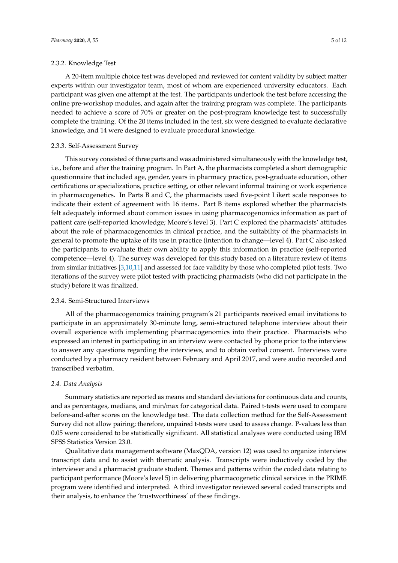A 20-item multiple choice test was developed and reviewed for content validity by subject matter experts within our investigator team, most of whom are experienced university educators. Each participant was given one attempt at the test. The participants undertook the test before accessing the online pre-workshop modules, and again after the training program was complete. The participants needed to achieve a score of 70% or greater on the post-program knowledge test to successfully complete the training. Of the 20 items included in the test, six were designed to evaluate declarative knowledge, and 14 were designed to evaluate procedural knowledge.

#### 2.3.3. Self-Assessment Survey

This survey consisted of three parts and was administered simultaneously with the knowledge test, i.e., before and after the training program. In Part A, the pharmacists completed a short demographic questionnaire that included age, gender, years in pharmacy practice, post-graduate education, other certifications or specializations, practice setting, or other relevant informal training or work experience in pharmacogenetics. In Parts B and C, the pharmacists used five-point Likert scale responses to indicate their extent of agreement with 16 items. Part B items explored whether the pharmacists felt adequately informed about common issues in using pharmacogenomics information as part of patient care (self-reported knowledge; Moore's level 3). Part C explored the pharmacists' attitudes about the role of pharmacogenomics in clinical practice, and the suitability of the pharmacists in general to promote the uptake of its use in practice (intention to change—level 4). Part C also asked the participants to evaluate their own ability to apply this information in practice (self-reported competence—level 4). The survey was developed for this study based on a literature review of items from similar initiatives [\[3,](#page-10-2)[10](#page-11-5)[,11\]](#page-11-6) and assessed for face validity by those who completed pilot tests. Two iterations of the survey were pilot tested with practicing pharmacists (who did not participate in the study) before it was finalized.

#### 2.3.4. Semi-Structured Interviews

All of the pharmacogenomics training program's 21 participants received email invitations to participate in an approximately 30-minute long, semi-structured telephone interview about their overall experience with implementing pharmacogenomics into their practice. Pharmacists who expressed an interest in participating in an interview were contacted by phone prior to the interview to answer any questions regarding the interviews, and to obtain verbal consent. Interviews were conducted by a pharmacy resident between February and April 2017, and were audio recorded and transcribed verbatim.

#### *2.4. Data Analysis*

Summary statistics are reported as means and standard deviations for continuous data and counts, and as percentages, medians, and min/max for categorical data. Paired t-tests were used to compare before-and-after scores on the knowledge test. The data collection method for the Self-Assessment Survey did not allow pairing; therefore, unpaired t-tests were used to assess change. P-values less than 0.05 were considered to be statistically significant. All statistical analyses were conducted using IBM SPSS Statistics Version 23.0.

Qualitative data management software (MaxQDA, version 12) was used to organize interview transcript data and to assist with thematic analysis. Transcripts were inductively coded by the interviewer and a pharmacist graduate student. Themes and patterns within the coded data relating to participant performance (Moore's level 5) in delivering pharmacogenetic clinical services in the PRIME program were identified and interpreted. A third investigator reviewed several coded transcripts and their analysis, to enhance the 'trustworthiness' of these findings.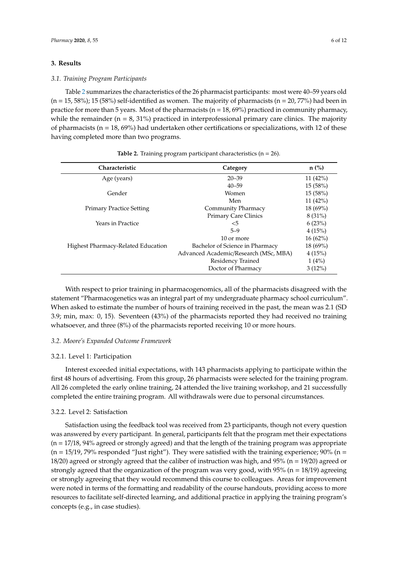#### **3. Results**

#### *3.1. Training Program Participants*

Table [2](#page-5-0) summarizes the characteristics of the 26 pharmacist participants: most were 40–59 years old  $(n = 15, 58\%)$ ; 15 (58%) self-identified as women. The majority of pharmacists  $(n = 20, 77\%)$  had been in practice for more than 5 years. Most of the pharmacists ( $n = 18,69\%$ ) practiced in community pharmacy, while the remainder  $(n = 8, 31%)$  practiced in interprofessional primary care clinics. The majority of pharmacists ( $n = 18,69\%$ ) had undertaken other certifications or specializations, with 12 of these having completed more than two programs.

<span id="page-5-0"></span>

| Characteristic                     | Category                              | $n$ (%)     |
|------------------------------------|---------------------------------------|-------------|
| Age (years)                        | $20 - 39$                             | 11 $(42\%)$ |
|                                    | $40 - 59$                             | 15(58%)     |
| Gender                             | Women                                 | 15(58%)     |
|                                    | Men                                   | 11 $(42\%)$ |
| <b>Primary Practice Setting</b>    | Community Pharmacy                    | $18(69\%)$  |
|                                    | <b>Primary Care Clinics</b>           | $8(31\%)$   |
| Years in Practice                  | $<$ 5                                 | 6(23%)      |
|                                    | $5 - 9$                               | 4(15%)      |
|                                    | 10 or more                            | $16(62\%)$  |
| Highest Pharmacy-Related Education | Bachelor of Science in Pharmacy       | $18(69\%)$  |
|                                    | Advanced Academic/Research (MSc, MBA) | 4(15%)      |
|                                    | Residency Trained                     | 1(4%)       |
|                                    | Doctor of Pharmacy                    | $3(12\%)$   |

**Table 2.** Training program participant characteristics (n = 26).

With respect to prior training in pharmacogenomics, all of the pharmacists disagreed with the statement "Pharmacogenetics was an integral part of my undergraduate pharmacy school curriculum". When asked to estimate the number of hours of training received in the past, the mean was 2.1 (SD 3.9; min, max: 0, 15). Seventeen (43%) of the pharmacists reported they had received no training whatsoever, and three (8%) of the pharmacists reported receiving 10 or more hours.

#### *3.2. Moore's Expanded Outcome Framework*

#### 3.2.1. Level 1: Participation

Interest exceeded initial expectations, with 143 pharmacists applying to participate within the first 48 hours of advertising. From this group, 26 pharmacists were selected for the training program. All 26 completed the early online training, 24 attended the live training workshop, and 21 successfully completed the entire training program. All withdrawals were due to personal circumstances.

### 3.2.2. Level 2: Satisfaction

Satisfaction using the feedback tool was received from 23 participants, though not every question was answered by every participant. In general, participants felt that the program met their expectations  $(n = 17/18, 94\%$  agreed or strongly agreed) and that the length of the training program was appropriate  $(n = 15/19, 79\%$  responded "Just right"). They were satisfied with the training experience; 90% (n = 18/20) agreed or strongly agreed that the caliber of instruction was high, and 95% (n = 19/20) agreed or strongly agreed that the organization of the program was very good, with  $95\%$  (n = 18/19) agreeing or strongly agreeing that they would recommend this course to colleagues. Areas for improvement were noted in terms of the formatting and readability of the course handouts, providing access to more resources to facilitate self-directed learning, and additional practice in applying the training program's concepts (e.g., in case studies).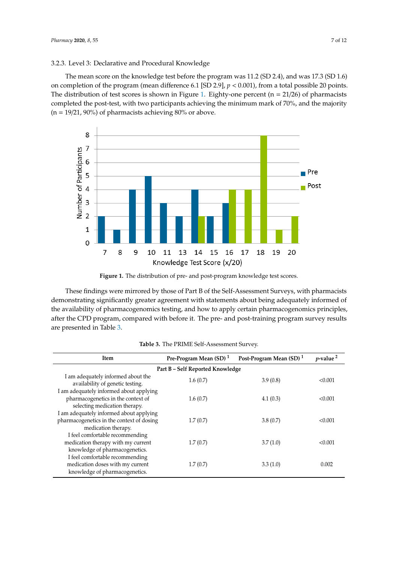# 3.2.3. Level 3: Declarative and Procedural Knowledge 3.2.3. Level 3: Declarative and Procedural Knowledge

The mean score on the knowledge test before the program was 11.2 (SD 2.4), and was 17.3 (SD 1.6) The mean score on the knowledge test before the program was 11.2 (SD 2.4), and was 17.3 (SD on completion of the program (mean difference 6.1 [SD 2.9],  $p < 0.001$ ), from a total possible 20 points. The distribution of test scores is shown in Figure [1.](#page-6-0) Eighty-one percent (n = 21/26) of pharmacists  $\mathop{\mathsf{complete}}$  the post-test, with two participants achieving the minimum mark of 70%, and the majority (n = 19/21, 90%) of pharmacists achieving 80% or above.

<span id="page-6-0"></span>

**Figure 1.** The distribution of pre- and post-program knowledge test scores. **Figure 1.** The distribution of pre- and post-program knowledge test scores.

demonstrating significantly greater agreement with statements about being adequately informed of the availability of pharmacogenomics testing, and how to apply certain pharmacogenomics principles, after the CPD program, compared with before it. The pre- and post-training program survey results are presented in Table [3.](#page-6-1) post-training program survey results are presented in Table 3. These findings were mirrored by those of Part B of the Self-Assessment Surveys, with pharmacists

<span id="page-6-1"></span>

| <b>Item</b>                                                                          | Pre-Program Mean $(SD)$ <sup>1</sup> | Post-Program Mean (SD) <sup>1</sup> | $p$ -value <sup>2</sup> |  |  |  |
|--------------------------------------------------------------------------------------|--------------------------------------|-------------------------------------|-------------------------|--|--|--|
|                                                                                      | Part B – Self Reported Knowledge     |                                     |                         |  |  |  |
| I am adequately informed about the<br>availability of genetic testing.               | 1.6(0.7)                             | 3.9(0.8)                            | < 0.001                 |  |  |  |
| I am adequately informed about applying                                              |                                      |                                     |                         |  |  |  |
| pharmacogenetics in the context of                                                   | 1.6(0.7)                             | 4.1(0.3)                            | < 0.001                 |  |  |  |
| selecting medication therapy.                                                        |                                      |                                     |                         |  |  |  |
| I am adequately informed about applying<br>pharmacogenetics in the context of dosing | 1.7(0.7)                             | 3.8(0.7)                            | < 0.001                 |  |  |  |
| medication therapy.                                                                  |                                      |                                     |                         |  |  |  |
| I feel comfortable recommending                                                      |                                      |                                     |                         |  |  |  |
| medication therapy with my current                                                   | 1.7(0.7)                             | 3.7(1.0)                            | < 0.001                 |  |  |  |
| knowledge of pharmacogenetics.                                                       |                                      |                                     |                         |  |  |  |
| I feel comfortable recommending                                                      |                                      |                                     |                         |  |  |  |
| medication doses with my current<br>knowledge of pharmacogenetics.                   | 1.7(0.7)                             | 3.3(1.0)                            | 0.002                   |  |  |  |
|                                                                                      |                                      |                                     |                         |  |  |  |

**Table 3.** The PRIME Self-Assessment Survey.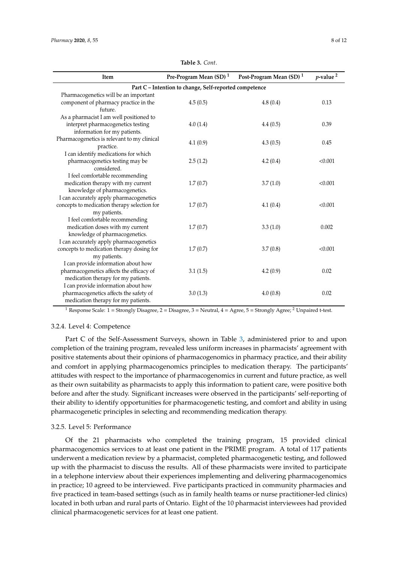| Item                                                   | Pre-Program Mean (SD) <sup>1</sup> | Post-Program Mean (SD) <sup>1</sup> | $p$ -value <sup>2</sup> |  |  |
|--------------------------------------------------------|------------------------------------|-------------------------------------|-------------------------|--|--|
| Part C - Intention to change, Self-reported competence |                                    |                                     |                         |  |  |
| Pharmacogenetics will be an important                  |                                    |                                     |                         |  |  |
| component of pharmacy practice in the                  | 4.5(0.5)                           | 4.8(0.4)                            | 0.13                    |  |  |
| future.                                                |                                    |                                     |                         |  |  |
| As a pharmacist I am well positioned to                |                                    |                                     |                         |  |  |
| interpret pharmacogenetics testing                     | 4.0(1.4)                           | 4.4(0.5)                            | 0.39                    |  |  |
| information for my patients.                           |                                    |                                     |                         |  |  |
| Pharmacogenetics is relevant to my clinical            |                                    |                                     | 0.45                    |  |  |
| practice.                                              | 4.1(0.9)                           | 4.3(0.5)                            |                         |  |  |
| I can identify medications for which                   |                                    |                                     |                         |  |  |
| pharmacogenetics testing may be                        | 2.5(1.2)                           | 4.2(0.4)                            | < 0.001                 |  |  |
| considered.                                            |                                    |                                     |                         |  |  |
| I feel comfortable recommending                        |                                    |                                     |                         |  |  |
| medication therapy with my current                     | 1.7(0.7)                           | 3.7(1.0)                            | < 0.001                 |  |  |
| knowledge of pharmacogenetics.                         |                                    |                                     |                         |  |  |
| I can accurately apply pharmacogenetics                |                                    |                                     |                         |  |  |
| concepts to medication therapy selection for           | 1.7(0.7)                           | 4.1(0.4)                            | < 0.001                 |  |  |
| my patients.                                           |                                    |                                     |                         |  |  |
| I feel comfortable recommending                        |                                    |                                     |                         |  |  |
| medication doses with my current                       | 1.7(0.7)                           | 3.3(1.0)                            | 0.002                   |  |  |
| knowledge of pharmacogenetics.                         |                                    |                                     |                         |  |  |
| I can accurately apply pharmacogenetics                |                                    |                                     |                         |  |  |
| concepts to medication therapy dosing for              | 1.7(0.7)                           | 3.7(0.8)                            | < 0.001                 |  |  |
| my patients.                                           |                                    |                                     |                         |  |  |
| I can provide information about how                    |                                    |                                     |                         |  |  |
| pharmacogenetics affects the efficacy of               | 3.1(1.5)                           | 4.2(0.9)                            | 0.02                    |  |  |
| medication therapy for my patients.                    |                                    |                                     |                         |  |  |
| I can provide information about how                    |                                    |                                     |                         |  |  |
| pharmacogenetics affects the safety of                 | 3.0(1.3)                           | 4.0(0.8)                            | 0.02                    |  |  |
| medication therapy for my patients.                    |                                    |                                     |                         |  |  |

**Table 3.** *Cont*.

<sup>1</sup> Response Scale: 1 = Strongly Disagree, 2 = Disagree, 3 = Neutral, 4 = Agree, 5 = Strongly Agree; <sup>2</sup> Unpaired t-test.

#### 3.2.4. Level 4: Competence

Part C of the Self-Assessment Surveys, shown in Table [3,](#page-6-1) administered prior to and upon completion of the training program, revealed less uniform increases in pharmacists' agreement with positive statements about their opinions of pharmacogenomics in pharmacy practice, and their ability and comfort in applying pharmacogenomics principles to medication therapy. The participants' attitudes with respect to the importance of pharmacogenomics in current and future practice, as well as their own suitability as pharmacists to apply this information to patient care, were positive both before and after the study. Significant increases were observed in the participants' self-reporting of their ability to identify opportunities for pharmacogenetic testing, and comfort and ability in using pharmacogenetic principles in selecting and recommending medication therapy.

# 3.2.5. Level 5: Performance

Of the 21 pharmacists who completed the training program, 15 provided clinical pharmacogenomics services to at least one patient in the PRIME program. A total of 117 patients underwent a medication review by a pharmacist, completed pharmacogenetic testing, and followed up with the pharmacist to discuss the results. All of these pharmacists were invited to participate in a telephone interview about their experiences implementing and delivering pharmacogenomics in practice; 10 agreed to be interviewed. Five participants practiced in community pharmacies and five practiced in team-based settings (such as in family health teams or nurse practitioner-led clinics) located in both urban and rural parts of Ontario. Eight of the 10 pharmacist interviewees had provided clinical pharmacogenetic services for at least one patient.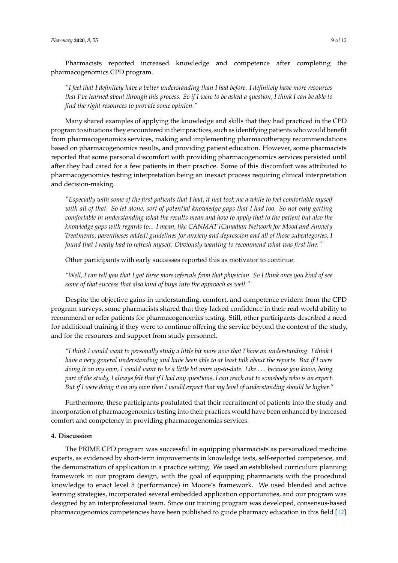Pharmacists reported increased knowledge and competence after completing the pharmacogenomics CPD program.

*"I feel that I definitely have a better understanding than I had before. I definitely have more resources that I've learned about through this process. So if I were to be asked a question, I think I can be able to find the right resources to provide some opinion."*

Many shared examples of applying the knowledge and skills that they had practiced in the CPD program to situations they encountered in their practices, such as identifying patients who would benefit from pharmacogenomics services, making and implementing pharmacotherapy recommendations based on pharmacogenomics results, and providing patient education. However, some pharmacists reported that some personal discomfort with providing pharmacogenomics services persisted until after they had cared for a few patients in their practice. Some of this discomfort was attributed to pharmacogenomics testing interpretation being an inexact process requiring clinical interpretation and decision-making.

*"Especially with some of the first patients that I had, it just took me a while to feel comfortable myself with all of that. So let alone, sort of potential knowledge gaps that I had too. So not only getting comfortable in understanding what the results mean and how to apply that to the patient but also the knowledge gaps with regards to... I mean, like CANMAT [Canadian Network for Mood and Anxiety Treatments, parentheses added] guidelines for anxiety and depression and all of those subcategories, I found that I really had to refresh myself. Obviously wanting to recommend what was first line."*

Other participants with early successes reported this as motivator to continue.

*"Well, I can tell you that I got three more referrals from that physician. So I think once you kind of see some of that success that also kind of buys into the approach as well."*

Despite the objective gains in understanding, comfort, and competence evident from the CPD program surveys, some pharmacists shared that they lacked confidence in their real-world ability to recommend or refer patients for pharmacogenomics testing. Still, other participants described a need for additional training if they were to continue offering the service beyond the context of the study, and for the resources and support from study personnel.

*"I think I would want to personally study a little bit more now that I have an understanding. I think I have a very general understanding and have been able to at least talk about the reports. But if I were doing it on my own, I would want to be a little bit more up-to-date. Like* . . . *because you know, being part of the study, I always felt that if I had any questions, I can reach out to somebody who is an expert. But if I were doing it on my own then I would expect that my level of understanding should be higher."*

Furthermore, these participants postulated that their recruitment of patients into the study and incorporation of pharmacogenomics testing into their practices would have been enhanced by increased comfort and competency in providing pharmacogenomics services.

# **4. Discussion**

The PRIME CPD program was successful in equipping pharmacists as personalized medicine experts, as evidenced by short-term improvements in knowledge tests, self-reported competence, and the demonstration of application in a practice setting. We used an established curriculum planning framework in our program design, with the goal of equipping pharmacists with the procedural knowledge to enact level 5 (performance) in Moore's framework. We used blended and active learning strategies, incorporated several embedded application opportunities, and our program was designed by an interprofessional team. Since our training program was developed, consensus-based pharmacogenomics competencies have been published to guide pharmacy education in this field [\[12\]](#page-11-7).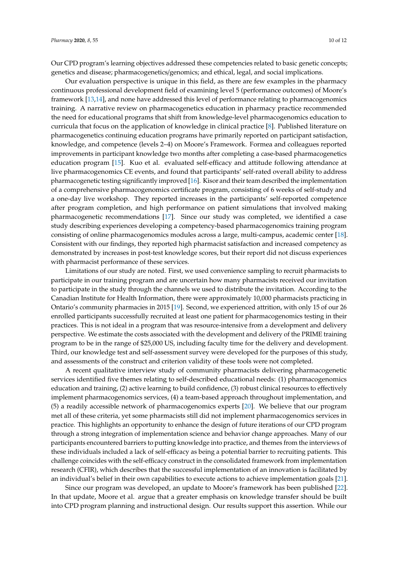Our CPD program's learning objectives addressed these competencies related to basic genetic concepts; genetics and disease; pharmacogenetics/genomics; and ethical, legal, and social implications.

Our evaluation perspective is unique in this field, as there are few examples in the pharmacy continuous professional development field of examining level 5 (performance outcomes) of Moore's framework [\[13](#page-11-8)[,14\]](#page-11-9), and none have addressed this level of performance relating to pharmacogenomics training. A narrative review on pharmacogenetics education in pharmacy practice recommended the need for educational programs that shift from knowledge-level pharmacogenomics education to curricula that focus on the application of knowledge in clinical practice [\[8\]](#page-11-3). Published literature on pharmacogenetics continuing education programs have primarily reported on participant satisfaction, knowledge, and competence (levels 2–4) on Moore's Framework. Formea and colleagues reported improvements in participant knowledge two months after completing a case-based pharmacogenetics education program [\[15\]](#page-11-10). Kuo et al. evaluated self-efficacy and attitude following attendance at live pharmacogenomics CE events, and found that participants' self-rated overall ability to address pharmacogenetic testing significantly improved [\[16\]](#page-11-11). Kisor and their team described the implementation of a comprehensive pharmacogenomics certificate program, consisting of 6 weeks of self-study and a one-day live workshop. They reported increases in the participants' self-reported competence after program completion, and high performance on patient simulations that involved making pharmacogenetic recommendations [\[17\]](#page-11-12). Since our study was completed, we identified a case study describing experiences developing a competency-based pharmacogenomics training program consisting of online pharmacogenomics modules across a large, multi-campus, academic center [\[18\]](#page-11-13). Consistent with our findings, they reported high pharmacist satisfaction and increased competency as demonstrated by increases in post-test knowledge scores, but their report did not discuss experiences with pharmacist performance of these services.

Limitations of our study are noted. First, we used convenience sampling to recruit pharmacists to participate in our training program and are uncertain how many pharmacists received our invitation to participate in the study through the channels we used to distribute the invitation. According to the Canadian Institute for Health Information, there were approximately 10,000 pharmacists practicing in Ontario's community pharmacies in 2015 [\[19\]](#page-11-14). Second, we experienced attrition, with only 15 of our 26 enrolled participants successfully recruited at least one patient for pharmacogenomics testing in their practices. This is not ideal in a program that was resource-intensive from a development and delivery perspective. We estimate the costs associated with the development and delivery of the PRIME training program to be in the range of \$25,000 US, including faculty time for the delivery and development. Third, our knowledge test and self-assessment survey were developed for the purposes of this study, and assessments of the construct and criterion validity of these tools were not completed.

A recent qualitative interview study of community pharmacists delivering pharmacogenetic services identified five themes relating to self-described educational needs: (1) pharmacogenomics education and training, (2) active learning to build confidence, (3) robust clinical resources to effectively implement pharmacogenomics services, (4) a team-based approach throughout implementation, and (5) a readily accessible network of pharmacogenomics experts [\[20\]](#page-11-15). We believe that our program met all of these criteria, yet some pharmacists still did not implement pharmacogenomics services in practice. This highlights an opportunity to enhance the design of future iterations of our CPD program through a strong integration of implementation science and behavior change approaches. Many of our participants encountered barriers to putting knowledge into practice, and themes from the interviews of these individuals included a lack of self-efficacy as being a potential barrier to recruiting patients. This challenge coincides with the self-efficacy construct in the consolidated framework from implementation research (CFIR), which describes that the successful implementation of an innovation is facilitated by an individual's belief in their own capabilities to execute actions to achieve implementation goals [\[21\]](#page-11-16).

Since our program was developed, an update to Moore's framework has been published [\[22\]](#page-11-17). In that update, Moore et al. argue that a greater emphasis on knowledge transfer should be built into CPD program planning and instructional design. Our results support this assertion. While our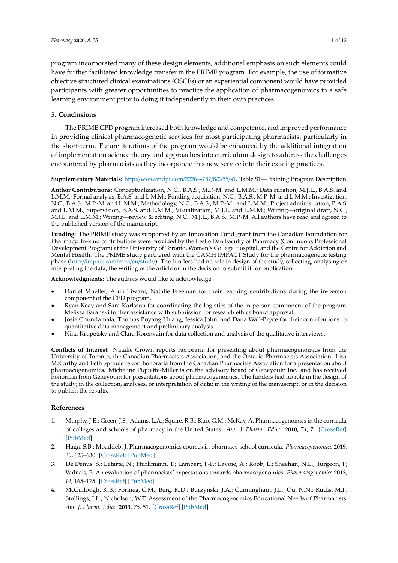program incorporated many of these design elements, additional emphasis on such elements could have further facilitated knowledge transfer in the PRIME program. For example, the use of formative objective structured clinical examinations (OSCEs) or an experiential component would have provided participants with greater opportunities to practice the application of pharmacogenomics in a safe learning environment prior to doing it independently in their own practices.

#### **5. Conclusions**

The PRIME CPD program increased both knowledge and competence, and improved performance in providing clinical pharmacogenetic services for most participating pharmacists, particularly in the short-term. Future iterations of the program would be enhanced by the additional integration of implementation science theory and approaches into curriculum design to address the challenges encountered by pharmacists as they incorporate this new service into their existing practices.

#### **Supplementary Materials:** http://[www.mdpi.com](http://www.mdpi.com/2226-4787/8/2/55/s1)/2226-4787/8/2/55/s1. Table S1—Training Program Description.

**Author Contributions:** Conceptualization, N.C., B.A.S., M.P.-M. and L.M.M.; Data curation, M.J.L., B.A.S. and L.M.M.; Formal analysis, B.A.S. and L.M.M.; Funding acquisition, N.C., B.A.S., M.P.-M. and L.M.M.; Investigation, N.C., B.A.S., M.P.-M. and L.M.M.; Methodology, N.C., B.A.S., M.P.-M., and L.M.M.; Project administration, B.A.S. and L.M.M.; Supervision, B.A.S. and L.M.M.; Visualization, M.J.L. and L.M.M.; Writing—original draft, N.C., M.J.L. and L.M.M.; Writing—review & editing, N.C., M.J.L., B.A.S., M.P.-M. All authors have read and agreed to the published version of the manuscript.

**Funding:** The PRIME study was supported by an Innovation Fund grant from the Canadian Foundation for Pharmacy. In-kind contributions were provided by the Leslie Dan Faculty of Pharmacy (Continuous Professional Development Program) at the University of Toronto, Women's College Hospital, and the Centre for Addiction and Mental Health. The PRIME study partnered with the CAMH IMPACT Study for the pharmacogenetic testing phase (http://[impact.camhx.ca](http://impact.camhx.ca/en/study)/en/study). The funders had no role in design of the study, collecting, analysing or interpreting the data, the writing of the article or in the decision to submit it for publication.

**Acknowledgments:** The authors would like to acknowledge:

- Daniel Mueller, Arun Tiwani, Natalie Freeman for their teaching contributions during the in-person component of the CPD program.
- Ryan Keay and Sara Karlsson for coordinating the logistics of the in-person component of the program. Melissa Baranski for her assistance with submission for research ethics board approval.
- Josie Chundamala, Thomas Boyang Huang, Jessica John, and Dana Wall-Bryce for their contributions to quantitative data management and preliminary analysis.
- Nina Krupetsky and Clara Korenvain for data collection and analysis of the qualitative interviews.

**Conflicts of Interest:** Natalie Crown reports honoraria for presenting about pharmacogenomics from the University of Toronto, the Canadian Pharmacists Association, and the Ontario Pharmacists Association. Lisa McCarthy and Beth Sproule report honoraria from the Canadian Pharmacists Association for a presentation about pharmacogenomics. Micheline Piquette-Miller is on the advisory board of Geneyouin Inc. and has received honoraria from Geneyouin for presentations about pharmacogenomics. The funders had no role in the design of the study; in the collection, analyses, or interpretation of data; in the writing of the manuscript, or in the decision to publish the results.

#### **References**

- <span id="page-10-0"></span>1. Murphy, J.E.; Green, J.S.; Adams, L.A.; Squire, R.B.; Kuo, G.M.; McKay, A. Pharmacogenomics in the curricula of colleges and schools of pharmacy in the United States. *Am. J. Pharm. Educ.* **2010**, *74*, 7. [\[CrossRef\]](http://dx.doi.org/10.5688/aj740107) [\[PubMed\]](http://www.ncbi.nlm.nih.gov/pubmed/20221358)
- <span id="page-10-1"></span>2. Haga, S.B.; Moaddeb, J. Pharmacogenomics courses in pharmacy school curricula. *Pharmacogenomics* **2019**, *20*, 625–630. [\[CrossRef\]](http://dx.doi.org/10.2217/pgs-2019-0024) [\[PubMed\]](http://www.ncbi.nlm.nih.gov/pubmed/31250728)
- <span id="page-10-2"></span>3. De Denus, S.; Letarte, N.; Hurlimann, T.; Lambert, J.-P.; Lavoie, A.; Robb, L.; Sheehan, N.L.; Turgeon, J.; Vadnais, B. An evaluation of pharmacists' expectations towards pharmacogenomics. *Pharmacogenomics* **2013**, *14*, 165–175. [\[CrossRef\]](http://dx.doi.org/10.2217/pgs.12.197) [\[PubMed\]](http://www.ncbi.nlm.nih.gov/pubmed/23327577)
- <span id="page-10-3"></span>4. McCullough, K.B.; Formea, C.M.; Berg, K.D.; Burzynski, J.A.; Cunningham, J.L.; Ou, N.N.; Rudis, M.I.; Stollings, J.L.; Nicholson, W.T. Assessment of the Pharmacogenomics Educational Needs of Pharmacists. *Am. J. Pharm. Educ.* **2011**, *75*, 51. [\[CrossRef\]](http://dx.doi.org/10.5688/ajpe75351) [\[PubMed\]](http://www.ncbi.nlm.nih.gov/pubmed/21655405)